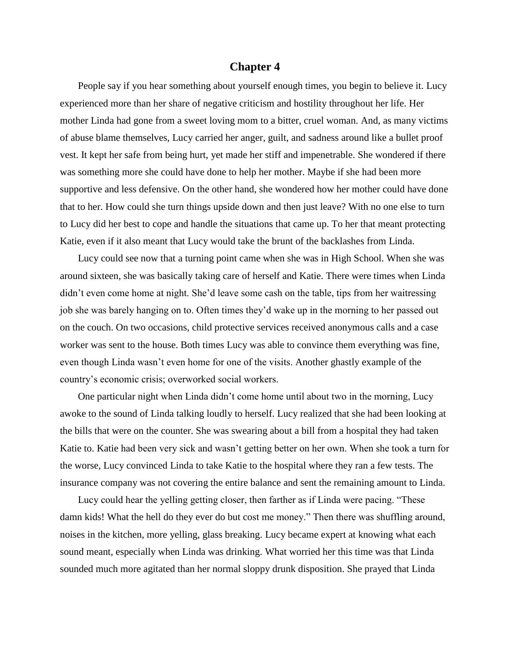## **Chapter 4**

People say if you hear something about yourself enough times, you begin to believe it. Lucy experienced more than her share of negative criticism and hostility throughout her life. Her mother Linda had gone from a sweet loving mom to a bitter, cruel woman. And, as many victims of abuse blame themselves, Lucy carried her anger, guilt, and sadness around like a bullet proof vest. It kept her safe from being hurt, yet made her stiff and impenetrable. She wondered if there was something more she could have done to help her mother. Maybe if she had been more supportive and less defensive. On the other hand, she wondered how her mother could have done that to her. How could she turn things upside down and then just leave? With no one else to turn to Lucy did her best to cope and handle the situations that came up. To her that meant protecting Katie, even if it also meant that Lucy would take the brunt of the backlashes from Linda.

Lucy could see now that a turning point came when she was in High School. When she was around sixteen, she was basically taking care of herself and Katie. There were times when Linda didn't even come home at night. She'd leave some cash on the table, tips from her waitressing job she was barely hanging on to. Often times they'd wake up in the morning to her passed out on the couch. On two occasions, child protective services received anonymous calls and a case worker was sent to the house. Both times Lucy was able to convince them everything was fine, even though Linda wasn't even home for one of the visits. Another ghastly example of the country's economic crisis; overworked social workers.

One particular night when Linda didn't come home until about two in the morning, Lucy awoke to the sound of Linda talking loudly to herself. Lucy realized that she had been looking at the bills that were on the counter. She was swearing about a bill from a hospital they had taken Katie to. Katie had been very sick and wasn't getting better on her own. When she took a turn for the worse, Lucy convinced Linda to take Katie to the hospital where they ran a few tests. The insurance company was not covering the entire balance and sent the remaining amount to Linda.

Lucy could hear the yelling getting closer, then farther as if Linda were pacing. "These damn kids! What the hell do they ever do but cost me money." Then there was shuffling around, noises in the kitchen, more yelling, glass breaking. Lucy became expert at knowing what each sound meant, especially when Linda was drinking. What worried her this time was that Linda sounded much more agitated than her normal sloppy drunk disposition. She prayed that Linda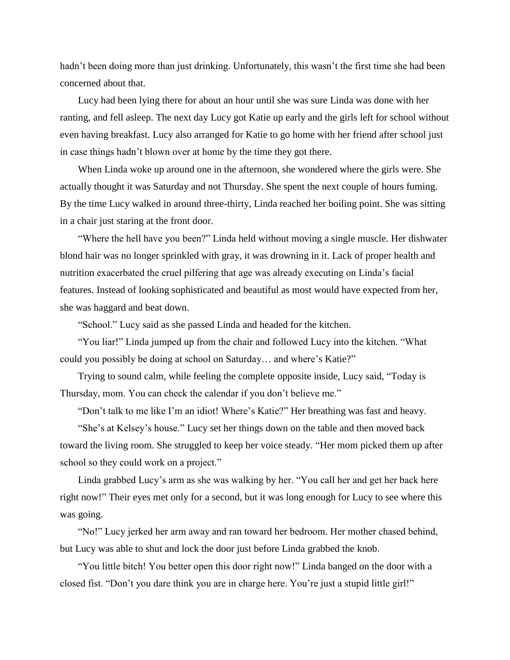hadn't been doing more than just drinking. Unfortunately, this wasn't the first time she had been concerned about that.

Lucy had been lying there for about an hour until she was sure Linda was done with her ranting, and fell asleep. The next day Lucy got Katie up early and the girls left for school without even having breakfast. Lucy also arranged for Katie to go home with her friend after school just in case things hadn't blown over at home by the time they got there.

When Linda woke up around one in the afternoon, she wondered where the girls were. She actually thought it was Saturday and not Thursday. She spent the next couple of hours fuming. By the time Lucy walked in around three-thirty, Linda reached her boiling point. She was sitting in a chair just staring at the front door.

"Where the hell have you been?" Linda held without moving a single muscle. Her dishwater blond hair was no longer sprinkled with gray, it was drowning in it. Lack of proper health and nutrition exacerbated the cruel pilfering that age was already executing on Linda's facial features. Instead of looking sophisticated and beautiful as most would have expected from her, she was haggard and beat down.

"School." Lucy said as she passed Linda and headed for the kitchen.

"You liar!" Linda jumped up from the chair and followed Lucy into the kitchen. "What could you possibly be doing at school on Saturday… and where's Katie?"

Trying to sound calm, while feeling the complete opposite inside, Lucy said, "Today is Thursday, mom. You can check the calendar if you don't believe me."

"Don't talk to me like I'm an idiot! Where's Katie?" Her breathing was fast and heavy.

"She's at Kelsey's house." Lucy set her things down on the table and then moved back toward the living room. She struggled to keep her voice steady. "Her mom picked them up after school so they could work on a project."

Linda grabbed Lucy's arm as she was walking by her. "You call her and get her back here right now!" Their eyes met only for a second, but it was long enough for Lucy to see where this was going.

"No!" Lucy jerked her arm away and ran toward her bedroom. Her mother chased behind, but Lucy was able to shut and lock the door just before Linda grabbed the knob.

"You little bitch! You better open this door right now!" Linda banged on the door with a closed fist. "Don't you dare think you are in charge here. You're just a stupid little girl!"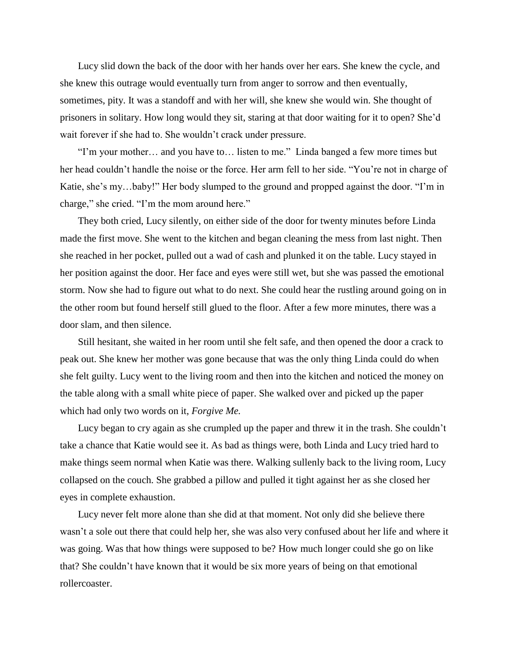Lucy slid down the back of the door with her hands over her ears. She knew the cycle, and she knew this outrage would eventually turn from anger to sorrow and then eventually, sometimes, pity. It was a standoff and with her will, she knew she would win. She thought of prisoners in solitary. How long would they sit, staring at that door waiting for it to open? She'd wait forever if she had to. She wouldn't crack under pressure.

"I'm your mother… and you have to… listen to me." Linda banged a few more times but her head couldn't handle the noise or the force. Her arm fell to her side. "You're not in charge of Katie, she's my…baby!" Her body slumped to the ground and propped against the door. "I'm in charge," she cried. "I'm the mom around here."

They both cried, Lucy silently, on either side of the door for twenty minutes before Linda made the first move. She went to the kitchen and began cleaning the mess from last night. Then she reached in her pocket, pulled out a wad of cash and plunked it on the table. Lucy stayed in her position against the door. Her face and eyes were still wet, but she was passed the emotional storm. Now she had to figure out what to do next. She could hear the rustling around going on in the other room but found herself still glued to the floor. After a few more minutes, there was a door slam, and then silence.

Still hesitant, she waited in her room until she felt safe, and then opened the door a crack to peak out. She knew her mother was gone because that was the only thing Linda could do when she felt guilty. Lucy went to the living room and then into the kitchen and noticed the money on the table along with a small white piece of paper. She walked over and picked up the paper which had only two words on it, *Forgive Me.*

Lucy began to cry again as she crumpled up the paper and threw it in the trash. She couldn't take a chance that Katie would see it. As bad as things were, both Linda and Lucy tried hard to make things seem normal when Katie was there. Walking sullenly back to the living room, Lucy collapsed on the couch. She grabbed a pillow and pulled it tight against her as she closed her eyes in complete exhaustion.

Lucy never felt more alone than she did at that moment. Not only did she believe there wasn't a sole out there that could help her, she was also very confused about her life and where it was going. Was that how things were supposed to be? How much longer could she go on like that? She couldn't have known that it would be six more years of being on that emotional rollercoaster.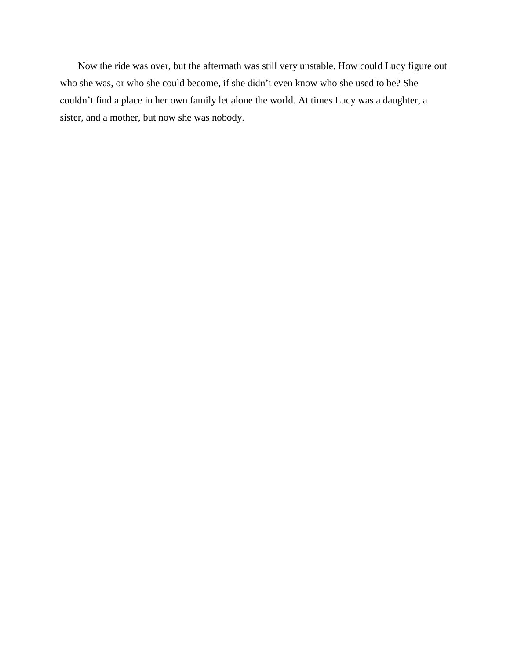Now the ride was over, but the aftermath was still very unstable. How could Lucy figure out who she was, or who she could become, if she didn't even know who she used to be? She couldn't find a place in her own family let alone the world. At times Lucy was a daughter, a sister, and a mother, but now she was nobody.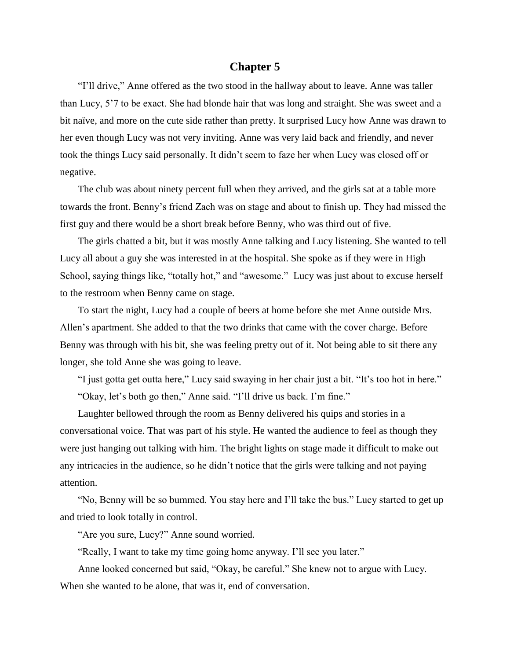## **Chapter 5**

"I'll drive," Anne offered as the two stood in the hallway about to leave. Anne was taller than Lucy, 5'7 to be exact. She had blonde hair that was long and straight. She was sweet and a bit naïve, and more on the cute side rather than pretty. It surprised Lucy how Anne was drawn to her even though Lucy was not very inviting. Anne was very laid back and friendly, and never took the things Lucy said personally. It didn't seem to faze her when Lucy was closed off or negative.

The club was about ninety percent full when they arrived, and the girls sat at a table more towards the front. Benny's friend Zach was on stage and about to finish up. They had missed the first guy and there would be a short break before Benny, who was third out of five.

The girls chatted a bit, but it was mostly Anne talking and Lucy listening. She wanted to tell Lucy all about a guy she was interested in at the hospital. She spoke as if they were in High School, saying things like, "totally hot," and "awesome." Lucy was just about to excuse herself to the restroom when Benny came on stage.

To start the night, Lucy had a couple of beers at home before she met Anne outside Mrs. Allen's apartment. She added to that the two drinks that came with the cover charge. Before Benny was through with his bit, she was feeling pretty out of it. Not being able to sit there any longer, she told Anne she was going to leave.

"I just gotta get outta here," Lucy said swaying in her chair just a bit. "It's too hot in here." "Okay, let's both go then," Anne said. "I'll drive us back. I'm fine."

Laughter bellowed through the room as Benny delivered his quips and stories in a conversational voice. That was part of his style. He wanted the audience to feel as though they were just hanging out talking with him. The bright lights on stage made it difficult to make out any intricacies in the audience, so he didn't notice that the girls were talking and not paying attention.

"No, Benny will be so bummed. You stay here and I'll take the bus." Lucy started to get up and tried to look totally in control.

"Are you sure, Lucy?" Anne sound worried.

"Really, I want to take my time going home anyway. I'll see you later."

Anne looked concerned but said, "Okay, be careful." She knew not to argue with Lucy. When she wanted to be alone, that was it, end of conversation.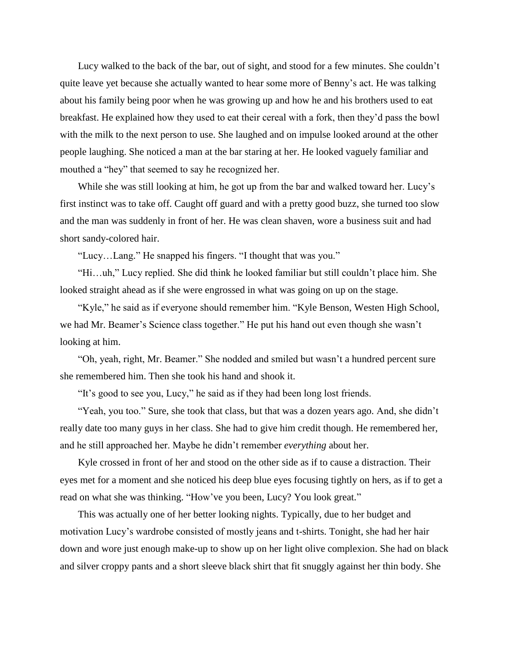Lucy walked to the back of the bar, out of sight, and stood for a few minutes. She couldn't quite leave yet because she actually wanted to hear some more of Benny's act. He was talking about his family being poor when he was growing up and how he and his brothers used to eat breakfast. He explained how they used to eat their cereal with a fork, then they'd pass the bowl with the milk to the next person to use. She laughed and on impulse looked around at the other people laughing. She noticed a man at the bar staring at her. He looked vaguely familiar and mouthed a "hey" that seemed to say he recognized her.

While she was still looking at him, he got up from the bar and walked toward her. Lucy's first instinct was to take off. Caught off guard and with a pretty good buzz, she turned too slow and the man was suddenly in front of her. He was clean shaven, wore a business suit and had short sandy-colored hair.

"Lucy…Lang." He snapped his fingers. "I thought that was you."

"Hi…uh," Lucy replied. She did think he looked familiar but still couldn't place him. She looked straight ahead as if she were engrossed in what was going on up on the stage.

"Kyle," he said as if everyone should remember him. "Kyle Benson, Westen High School, we had Mr. Beamer's Science class together." He put his hand out even though she wasn't looking at him.

"Oh, yeah, right, Mr. Beamer." She nodded and smiled but wasn't a hundred percent sure she remembered him. Then she took his hand and shook it.

"It's good to see you, Lucy," he said as if they had been long lost friends.

"Yeah, you too." Sure, she took that class, but that was a dozen years ago. And, she didn't really date too many guys in her class. She had to give him credit though. He remembered her, and he still approached her. Maybe he didn't remember *everything* about her.

Kyle crossed in front of her and stood on the other side as if to cause a distraction. Their eyes met for a moment and she noticed his deep blue eyes focusing tightly on hers, as if to get a read on what she was thinking. "How've you been, Lucy? You look great."

This was actually one of her better looking nights. Typically, due to her budget and motivation Lucy's wardrobe consisted of mostly jeans and t-shirts. Tonight, she had her hair down and wore just enough make-up to show up on her light olive complexion. She had on black and silver croppy pants and a short sleeve black shirt that fit snuggly against her thin body. She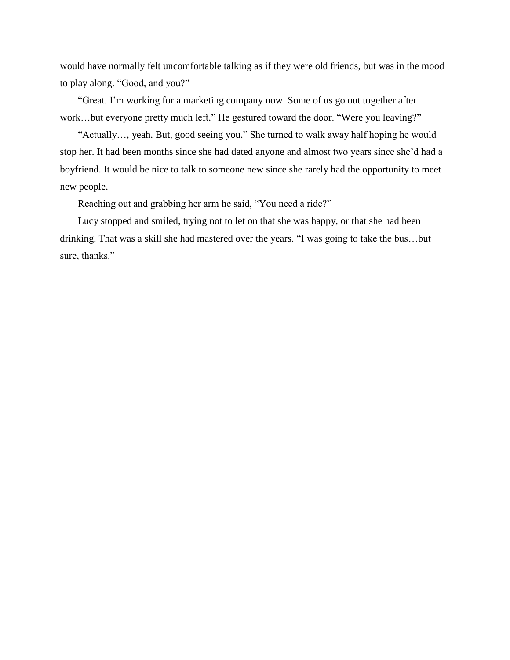would have normally felt uncomfortable talking as if they were old friends, but was in the mood to play along. "Good, and you?"

"Great. I'm working for a marketing company now. Some of us go out together after work…but everyone pretty much left." He gestured toward the door. "Were you leaving?"

"Actually…, yeah. But, good seeing you." She turned to walk away half hoping he would stop her. It had been months since she had dated anyone and almost two years since she'd had a boyfriend. It would be nice to talk to someone new since she rarely had the opportunity to meet new people.

Reaching out and grabbing her arm he said, "You need a ride?"

Lucy stopped and smiled, trying not to let on that she was happy, or that she had been drinking. That was a skill she had mastered over the years. "I was going to take the bus…but sure, thanks."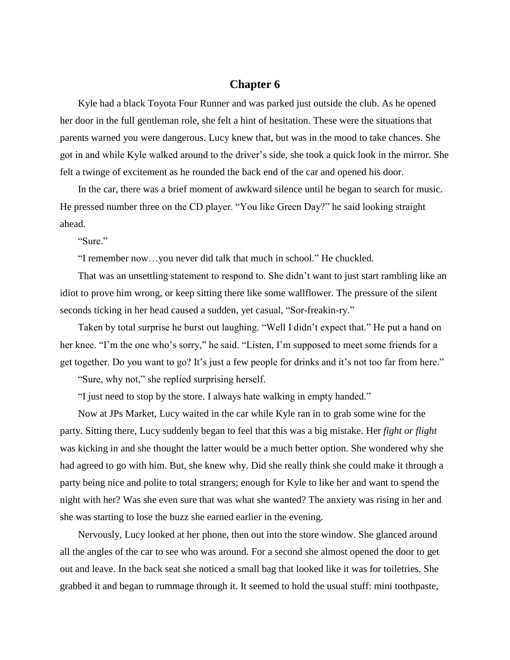## **Chapter 6**

Kyle had a black Toyota Four Runner and was parked just outside the club. As he opened her door in the full gentleman role, she felt a hint of hesitation. These were the situations that parents warned you were dangerous. Lucy knew that, but was in the mood to take chances. She got in and while Kyle walked around to the driver's side, she took a quick look in the mirror. She felt a twinge of excitement as he rounded the back end of the car and opened his door.

In the car, there was a brief moment of awkward silence until he began to search for music. He pressed number three on the CD player. "You like Green Day?" he said looking straight ahead.

"Sure"

"I remember now…you never did talk that much in school." He chuckled.

That was an unsettling statement to respond to. She didn't want to just start rambling like an idiot to prove him wrong, or keep sitting there like some wallflower. The pressure of the silent seconds ticking in her head caused a sudden, yet casual, "Sor-freakin-ry."

Taken by total surprise he burst out laughing. "Well I didn't expect that." He put a hand on her knee. "I'm the one who's sorry," he said. "Listen, I'm supposed to meet some friends for a get together. Do you want to go? It's just a few people for drinks and it's not too far from here."

"Sure, why not," she replied surprising herself.

"I just need to stop by the store. I always hate walking in empty handed."

Now at JPs Market, Lucy waited in the car while Kyle ran in to grab some wine for the party. Sitting there, Lucy suddenly began to feel that this was a big mistake. Her *fight or flight*  was kicking in and she thought the latter would be a much better option. She wondered why she had agreed to go with him. But, she knew why. Did she really think she could make it through a party being nice and polite to total strangers; enough for Kyle to like her and want to spend the night with her? Was she even sure that was what she wanted? The anxiety was rising in her and she was starting to lose the buzz she earned earlier in the evening.

Nervously, Lucy looked at her phone, then out into the store window. She glanced around all the angles of the car to see who was around. For a second she almost opened the door to get out and leave. In the back seat she noticed a small bag that looked like it was for toiletries. She grabbed it and began to rummage through it. It seemed to hold the usual stuff: mini toothpaste,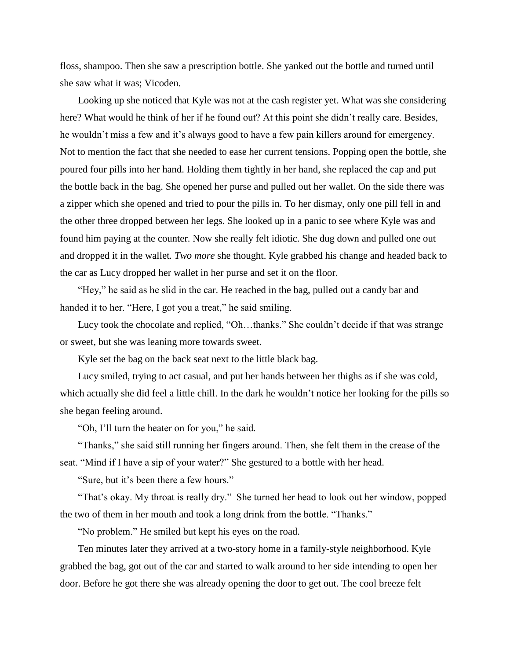floss, shampoo. Then she saw a prescription bottle. She yanked out the bottle and turned until she saw what it was; Vicoden.

Looking up she noticed that Kyle was not at the cash register yet. What was she considering here? What would he think of her if he found out? At this point she didn't really care. Besides, he wouldn't miss a few and it's always good to have a few pain killers around for emergency. Not to mention the fact that she needed to ease her current tensions. Popping open the bottle, she poured four pills into her hand. Holding them tightly in her hand, she replaced the cap and put the bottle back in the bag. She opened her purse and pulled out her wallet. On the side there was a zipper which she opened and tried to pour the pills in. To her dismay, only one pill fell in and the other three dropped between her legs. She looked up in a panic to see where Kyle was and found him paying at the counter. Now she really felt idiotic. She dug down and pulled one out and dropped it in the wallet*. Two more* she thought. Kyle grabbed his change and headed back to the car as Lucy dropped her wallet in her purse and set it on the floor.

"Hey," he said as he slid in the car. He reached in the bag, pulled out a candy bar and handed it to her. "Here, I got you a treat," he said smiling.

Lucy took the chocolate and replied, "Oh…thanks." She couldn't decide if that was strange or sweet, but she was leaning more towards sweet.

Kyle set the bag on the back seat next to the little black bag.

Lucy smiled, trying to act casual, and put her hands between her thighs as if she was cold, which actually she did feel a little chill. In the dark he wouldn't notice her looking for the pills so she began feeling around.

"Oh, I'll turn the heater on for you," he said.

"Thanks," she said still running her fingers around. Then, she felt them in the crease of the seat. "Mind if I have a sip of your water?" She gestured to a bottle with her head.

"Sure, but it's been there a few hours."

"That's okay. My throat is really dry." She turned her head to look out her window, popped the two of them in her mouth and took a long drink from the bottle. "Thanks."

"No problem." He smiled but kept his eyes on the road.

Ten minutes later they arrived at a two-story home in a family-style neighborhood. Kyle grabbed the bag, got out of the car and started to walk around to her side intending to open her door. Before he got there she was already opening the door to get out. The cool breeze felt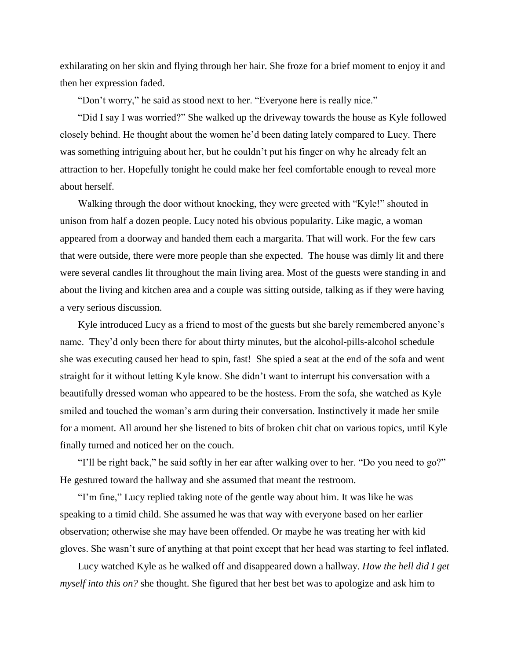exhilarating on her skin and flying through her hair. She froze for a brief moment to enjoy it and then her expression faded.

"Don't worry," he said as stood next to her. "Everyone here is really nice."

"Did I say I was worried?" She walked up the driveway towards the house as Kyle followed closely behind. He thought about the women he'd been dating lately compared to Lucy. There was something intriguing about her, but he couldn't put his finger on why he already felt an attraction to her. Hopefully tonight he could make her feel comfortable enough to reveal more about herself.

Walking through the door without knocking, they were greeted with "Kyle!" shouted in unison from half a dozen people. Lucy noted his obvious popularity. Like magic, a woman appeared from a doorway and handed them each a margarita. That will work. For the few cars that were outside, there were more people than she expected. The house was dimly lit and there were several candles lit throughout the main living area. Most of the guests were standing in and about the living and kitchen area and a couple was sitting outside, talking as if they were having a very serious discussion.

Kyle introduced Lucy as a friend to most of the guests but she barely remembered anyone's name. They'd only been there for about thirty minutes, but the alcohol-pills-alcohol schedule she was executing caused her head to spin, fast! She spied a seat at the end of the sofa and went straight for it without letting Kyle know. She didn't want to interrupt his conversation with a beautifully dressed woman who appeared to be the hostess. From the sofa, she watched as Kyle smiled and touched the woman's arm during their conversation. Instinctively it made her smile for a moment. All around her she listened to bits of broken chit chat on various topics, until Kyle finally turned and noticed her on the couch.

"I'll be right back," he said softly in her ear after walking over to her. "Do you need to go?" He gestured toward the hallway and she assumed that meant the restroom.

"I'm fine," Lucy replied taking note of the gentle way about him. It was like he was speaking to a timid child. She assumed he was that way with everyone based on her earlier observation; otherwise she may have been offended. Or maybe he was treating her with kid gloves. She wasn't sure of anything at that point except that her head was starting to feel inflated.

Lucy watched Kyle as he walked off and disappeared down a hallway. *How the hell did I get myself into this on?* she thought. She figured that her best bet was to apologize and ask him to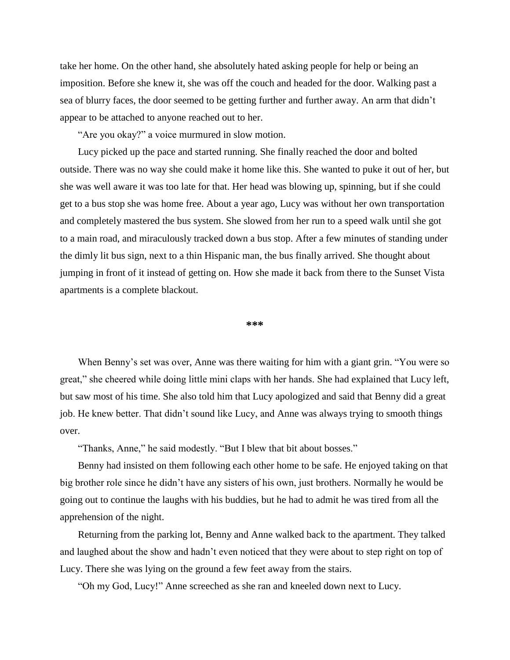take her home. On the other hand, she absolutely hated asking people for help or being an imposition. Before she knew it, she was off the couch and headed for the door. Walking past a sea of blurry faces, the door seemed to be getting further and further away. An arm that didn't appear to be attached to anyone reached out to her.

"Are you okay?" a voice murmured in slow motion.

Lucy picked up the pace and started running. She finally reached the door and bolted outside. There was no way she could make it home like this. She wanted to puke it out of her, but she was well aware it was too late for that. Her head was blowing up, spinning, but if she could get to a bus stop she was home free. About a year ago, Lucy was without her own transportation and completely mastered the bus system. She slowed from her run to a speed walk until she got to a main road, and miraculously tracked down a bus stop. After a few minutes of standing under the dimly lit bus sign, next to a thin Hispanic man, the bus finally arrived. She thought about jumping in front of it instead of getting on. How she made it back from there to the Sunset Vista apartments is a complete blackout.

## **\*\*\***

When Benny's set was over, Anne was there waiting for him with a giant grin. "You were so great," she cheered while doing little mini claps with her hands. She had explained that Lucy left, but saw most of his time. She also told him that Lucy apologized and said that Benny did a great job. He knew better. That didn't sound like Lucy, and Anne was always trying to smooth things over.

"Thanks, Anne," he said modestly. "But I blew that bit about bosses."

Benny had insisted on them following each other home to be safe. He enjoyed taking on that big brother role since he didn't have any sisters of his own, just brothers. Normally he would be going out to continue the laughs with his buddies, but he had to admit he was tired from all the apprehension of the night.

Returning from the parking lot, Benny and Anne walked back to the apartment. They talked and laughed about the show and hadn't even noticed that they were about to step right on top of Lucy. There she was lying on the ground a few feet away from the stairs.

"Oh my God, Lucy!" Anne screeched as she ran and kneeled down next to Lucy.